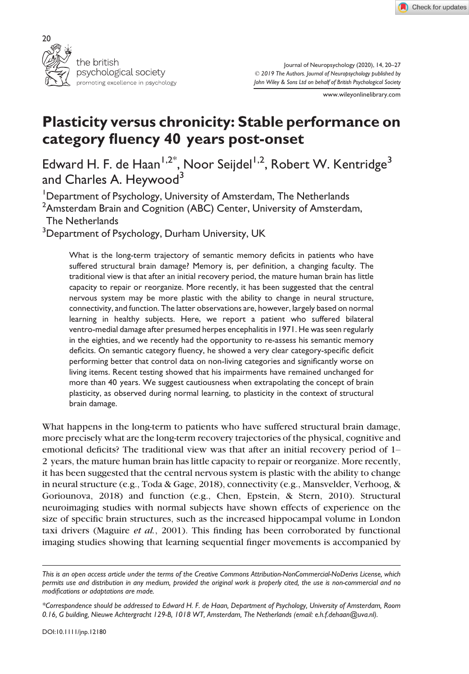



Journal of Neuropsychology (2020), 14, 20–27 © 2019 The Authors. Journal of Neuropsychology published by John Wiley & Sons Ltd on behalf of British Psychological Society

www.wileyonlinelibrary.com

# Plasticity versus chronicity: Stable performance on category fluency 40 years post-onset

Edward H. F. de Haan<sup>1,2\*</sup>, Noor Seijdel<sup>1,2</sup>, Robert W. Kentridge<sup>3</sup> and Charles A. Heywood<sup>3</sup>

<sup>1</sup>Department of Psychology, University of Amsterdam, The Netherlands  $^2$ Amsterdam Brain and Cognition (ABC) Center, University of Amsterdam, The Netherlands  $^3$ Department of Psychology, Durham University, UK

What is the long-term trajectory of semantic memory deficits in patients who have

suffered structural brain damage? Memory is, per definition, a changing faculty. The traditional view is that after an initial recovery period, the mature human brain has little capacity to repair or reorganize. More recently, it has been suggested that the central nervous system may be more plastic with the ability to change in neural structure, connectivity, and function. The latter observations are, however, largely based on normal learning in healthy subjects. Here, we report a patient who suffered bilateral ventro-medial damage after presumed herpes encephalitis in 1971. He was seen regularly in the eighties, and we recently had the opportunity to re-assess his semantic memory deficits. On semantic category fluency, he showed a very clear category-specific deficit performing better that control data on non-living categories and significantly worse on living items. Recent testing showed that his impairments have remained unchanged for more than 40 years. We suggest cautiousness when extrapolating the concept of brain plasticity, as observed during normal learning, to plasticity in the context of structural brain damage.

What happens in the long-term to patients who have suffered structural brain damage, more precisely what are the long-term recovery trajectories of the physical, cognitive and emotional deficits? The traditional view was that after an initial recovery period of 1– 2 years, the mature human brain has little capacity to repair or reorganize. More recently, it has been suggested that the central nervous system is plastic with the ability to change in neural structure (e.g., Toda & Gage, 2018), connectivity (e.g., Mansvelder, Verhoog, & Goriounova, 2018) and function (e.g., Chen, Epstein, & Stern, 2010). Structural neuroimaging studies with normal subjects have shown effects of experience on the size of specific brain structures, such as the increased hippocampal volume in London taxi drivers (Maguire et al., 2001). This finding has been corroborated by functional imaging studies showing that learning sequential finger movements is accompanied by

This is an open access article under the terms of the [Creative Commons Attribution-NonCommercial-NoDerivs](http://creativecommons.org/licenses/by-nc-nd/4.0/) License, which permits use and distribution in any medium, provided the original work is properly cited, the use is non-commercial and no modifications or adaptations are made.

<sup>\*</sup>Correspondence should be addressed to Edward H. F. de Haan, Department of Psychology, University of Amsterdam, Room 0.16, G building, Nieuwe Achtergracht 129-B, 1018 WT, Amsterdam, The Netherlands (email: [e.h.f.dehaan@uva.nl\)](mailto:).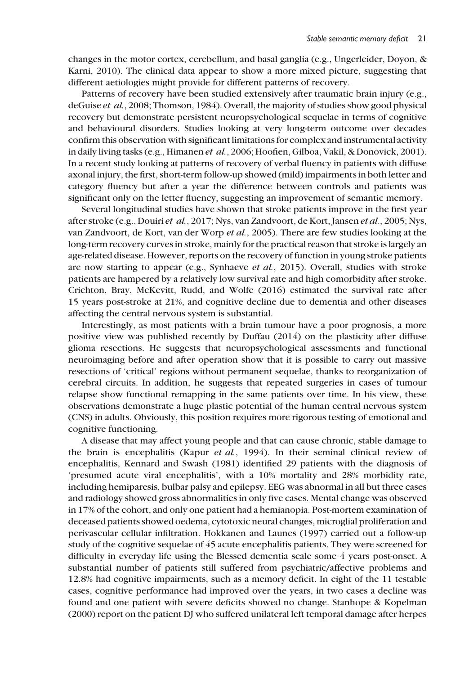changes in the motor cortex, cerebellum, and basal ganglia (e.g., Ungerleider, Doyon, & Karni, 2010). The clinical data appear to show a more mixed picture, suggesting that different aetiologies might provide for different patterns of recovery.

Patterns of recovery have been studied extensively after traumatic brain injury (e.g., deGuise et al., 2008; Thomson, 1984). Overall, the majority of studies show good physical recovery but demonstrate persistent neuropsychological sequelae in terms of cognitive and behavioural disorders. Studies looking at very long-term outcome over decades confirm this observation with significant limitations for complex and instrumental activity in daily living tasks (e.g., Himanen et al., 2006; Hoofien, Gilboa, Vakil, & Donovick, 2001). In a recent study looking at patterns of recovery of verbal fluency in patients with diffuse axonal injury, the first, short-term follow-up showed (mild) impairments in both letter and category fluency but after a year the difference between controls and patients was significant only on the letter fluency, suggesting an improvement of semantic memory.

Several longitudinal studies have shown that stroke patients improve in the first year after stroke (e.g., Douiri et al., 2017; Nys, van Zandvoort, de Kort, Jansen et al., 2005; Nys, van Zandvoort, de Kort, van der Worp et al., 2005). There are few studies looking at the long-term recovery curves in stroke, mainly for the practical reason that stroke is largely an age-related disease. However, reports on the recovery of function in young stroke patients are now starting to appear (e.g., Synhaeve et al., 2015). Overall, studies with stroke patients are hampered by a relatively low survival rate and high comorbidity after stroke. Crichton, Bray, McKevitt, Rudd, and Wolfe (2016) estimated the survival rate after 15 years post-stroke at 21%, and cognitive decline due to dementia and other diseases affecting the central nervous system is substantial.

Interestingly, as most patients with a brain tumour have a poor prognosis, a more positive view was published recently by Duffau (2014) on the plasticity after diffuse glioma resections. He suggests that neuropsychological assessments and functional neuroimaging before and after operation show that it is possible to carry out massive resections of 'critical' regions without permanent sequelae, thanks to reorganization of cerebral circuits. In addition, he suggests that repeated surgeries in cases of tumour relapse show functional remapping in the same patients over time. In his view, these observations demonstrate a huge plastic potential of the human central nervous system (CNS) in adults. Obviously, this position requires more rigorous testing of emotional and cognitive functioning.

A disease that may affect young people and that can cause chronic, stable damage to the brain is encephalitis (Kapur et al., 1994). In their seminal clinical review of encephalitis, Kennard and Swash (1981) identified 29 patients with the diagnosis of 'presumed acute viral encephalitis', with a 10% mortality and 28% morbidity rate, including hemiparesis, bulbar palsy and epilepsy. EEG was abnormal in all but three cases and radiology showed gross abnormalities in only five cases. Mental change was observed in 17% of the cohort, and only one patient had a hemianopia. Post-mortem examination of deceased patients showed oedema, cytotoxic neural changes, microglial proliferation and perivascular cellular infiltration. Hokkanen and Launes (1997) carried out a follow-up study of the cognitive sequelae of 45 acute encephalitis patients. They were screened for difficulty in everyday life using the Blessed dementia scale some 4 years post-onset. A substantial number of patients still suffered from psychiatric/affective problems and 12.8% had cognitive impairments, such as a memory deficit. In eight of the 11 testable cases, cognitive performance had improved over the years, in two cases a decline was found and one patient with severe deficits showed no change. Stanhope & Kopelman (2000) report on the patient DJ who suffered unilateral left temporal damage after herpes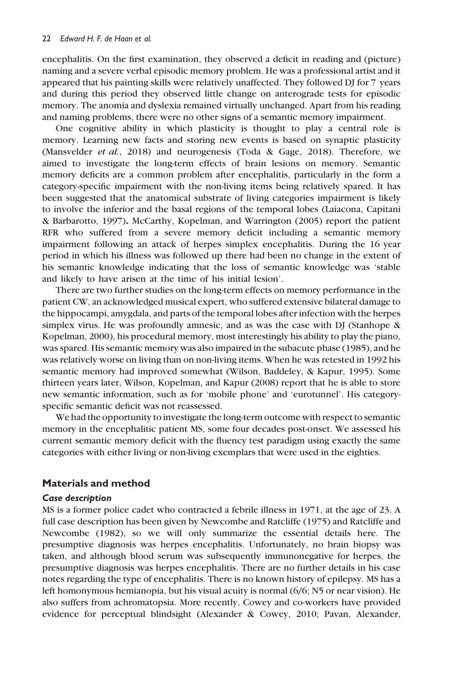encephalitis. On the first examination, they observed a deficit in reading and (picture) naming and a severe verbal episodic memory problem. He was a professional artist and it appeared that his painting skills were relatively unaffected. They followed DJ for 7 years and during this period they observed little change on anterograde tests for episodic memory. The anomia and dyslexia remained virtually unchanged. Apart from his reading and naming problems, there were no other signs of a semantic memory impairment.

One cognitive ability in which plasticity is thought to play a central role is memory. Learning new facts and storing new events is based on synaptic plasticity (Mansvelder *et al.*, 2018) and neurogenesis (Toda & Gage, 2018). Therefore, we aimed to investigate the long-term effects of brain lesions on memory. Semantic memory deficits are a common problem after encephalitis, particularly in the form a category-specific impairment with the non-living items being relatively spared. It has been suggested that the anatomical substrate of living categories impairment is likely to involve the inferior and the basal regions of the temporal lobes (Laiacona, Capitani & Barbarotto, 1997). McCarthy, Kopelman, and Warrington (2005) report the patient RFR who suffered from a severe memory deficit including a semantic memory impairment following an attack of herpes simplex encephalitis. During the 16 year period in which his illness was followed up there had been no change in the extent of his semantic knowledge indicating that the loss of semantic knowledge was 'stable and likely to have arisen at the time of his initial lesion'.

There are two further studies on the long-term effects on memory performance in the patient CW, an acknowledged musical expert, who suffered extensive bilateral damage to the hippocampi, amygdala, and parts of the temporal lobes after infection with the herpes simplex virus. He was profoundly amnesic, and as was the case with DJ (Stanhope & Kopelman, 2000), his procedural memory, most interestingly his ability to play the piano, was spared. His semantic memory was also impaired in the subacute phase (1985), and he was relatively worse on living than on non-living items. When he was retested in 1992 his semantic memory had improved somewhat (Wilson, Baddeley, & Kapur, 1995). Some thirteen years later, Wilson, Kopelman, and Kapur (2008) report that he is able to store new semantic information, such as for 'mobile phone' and 'eurotunnel'. His categoryspecific semantic deficit was not reassessed.

We had the opportunity to investigate the long-term outcome with respect to semantic memory in the encephalitic patient MS, some four decades post-onset. We assessed his current semantic memory deficit with the fluency test paradigm using exactly the same categories with either living or non-living exemplars that were used in the eighties.

## Materials and method

### Case description

MS is a former police cadet who contracted a febrile illness in 1971, at the age of 23. A full case description has been given by Newcombe and Ratcliffe (1975) and Ratcliffe and Newcombe (1982), so we will only summarize the essential details here. The presumptive diagnosis was herpes encephalitis. Unfortunately, no brain biopsy was taken, and although blood serum was subsequently immunonegative for herpes, the presumptive diagnosis was herpes encephalitis. There are no further details in his case notes regarding the type of encephalitis. There is no known history of epilepsy. MS has a left homonymous hemianopia, but his visual acuity is normal (6/6; N5 or near vision). He also suffers from achromatopsia. More recently, Cowey and co-workers have provided evidence for perceptual blindsight (Alexander & Cowey, 2010; Pavan, Alexander,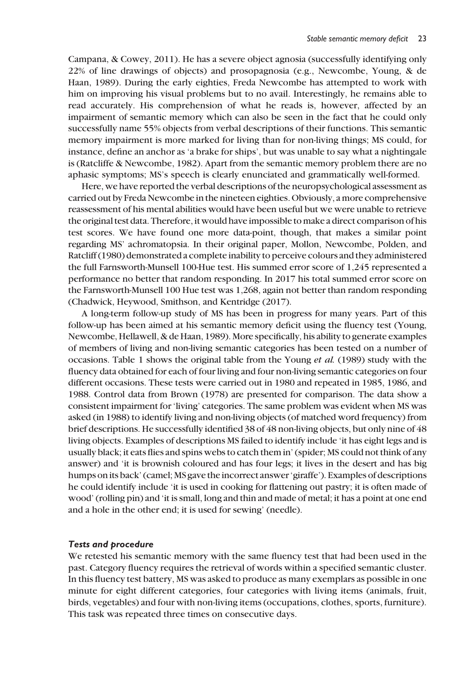Campana, & Cowey, 2011). He has a severe object agnosia (successfully identifying only 22% of line drawings of objects) and prosopagnosia (e.g., Newcombe, Young, & de Haan, 1989). During the early eighties, Freda Newcombe has attempted to work with him on improving his visual problems but to no avail. Interestingly, he remains able to read accurately. His comprehension of what he reads is, however, affected by an impairment of semantic memory which can also be seen in the fact that he could only successfully name 55% objects from verbal descriptions of their functions. This semantic memory impairment is more marked for living than for non-living things; MS could, for instance, define an anchor as 'a brake for ships', but was unable to say what a nightingale is (Ratcliffe & Newcombe, 1982). Apart from the semantic memory problem there are no aphasic symptoms; MS's speech is clearly enunciated and grammatically well-formed.

Here, we have reported the verbal descriptions of the neuropsychological assessment as carried out by Freda Newcombe in the nineteen eighties. Obviously, a more comprehensive reassessment of his mental abilities would have been useful but we were unable to retrieve the original test data. Therefore, it would have impossible to make a direct comparison of his test scores. We have found one more data-point, though, that makes a similar point regarding MS' achromatopsia. In their original paper, Mollon, Newcombe, Polden, and Ratcliff (1980) demonstrated a complete inability to perceive colours and they administered the full Farnsworth-Munsell 100-Hue test. His summed error score of 1,245 represented a performance no better that random responding. In 2017 his total summed error score on the Farnsworth-Munsell 100 Hue test was 1,268, again not better than random responding (Chadwick, Heywood, Smithson, and Kentridge (2017).

A long-term follow-up study of MS has been in progress for many years. Part of this follow-up has been aimed at his semantic memory deficit using the fluency test (Young, Newcombe, Hellawell, & de Haan, 1989). More specifically, his ability to generate examples of members of living and non-living semantic categories has been tested on a number of occasions. Table 1 shows the original table from the Young et al. (1989) study with the fluency data obtained for each of four living and four non-living semantic categories on four different occasions. These tests were carried out in 1980 and repeated in 1985, 1986, and 1988. Control data from Brown (1978) are presented for comparison. The data show a consistent impairment for 'living' categories. The same problem was evident when MS was asked (in 1988) to identify living and non-living objects (of matched word frequency) from brief descriptions. He successfully identified 38 of 48 non-living objects, but only nine of 48 living objects. Examples of descriptions MS failed to identify include 'it has eight legs and is usually black; it eats flies and spins webs to catch them in' (spider; MS could not think of any answer) and 'it is brownish coloured and has four legs; it lives in the desert and has big humps on its back' (camel; MS gave the incorrect answer 'giraffe'). Examples of descriptions he could identify include 'it is used in cooking for flattening out pastry; it is often made of wood' (rolling pin) and 'it is small, long and thin and made of metal; it has a point at one end and a hole in the other end; it is used for sewing' (needle).

#### Tests and procedure

We retested his semantic memory with the same fluency test that had been used in the past. Category fluency requires the retrieval of words within a specified semantic cluster. In this fluency test battery, MS was asked to produce as many exemplars as possible in one minute for eight different categories, four categories with living items (animals, fruit, birds, vegetables) and four with non-living items (occupations, clothes, sports, furniture). This task was repeated three times on consecutive days.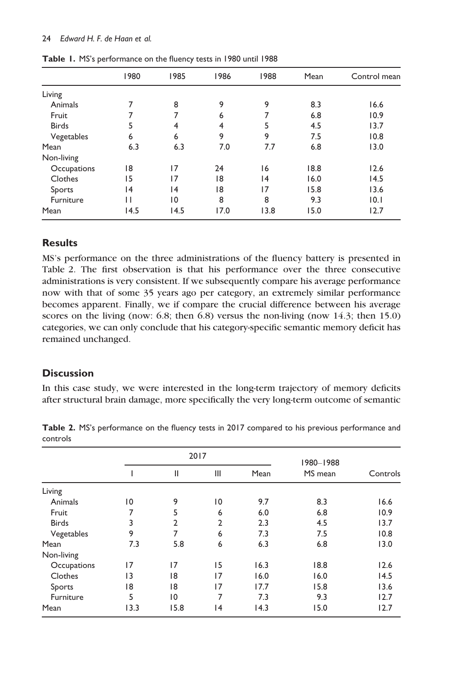#### 24 Edward H. F. de Haan et al.

|              | 1980 | 1985           | 1986 | 1988 | Mean | Control mean |
|--------------|------|----------------|------|------|------|--------------|
| Living       |      |                |      |      |      |              |
| Animals      | 7    | 8              | 9    | 9    | 8.3  | 16.6         |
| Fruit        | 7    | 7              | 6    | 7    | 6.8  | 10.9         |
| <b>Birds</b> | 5    | 4              | 4    | 5    | 4.5  | 13.7         |
| Vegetables   | 6    | 6              | 9    | 9    | 7.5  | 10.8         |
| Mean         | 6.3  | 6.3            | 7.0  | 7.7  | 6.8  | 13.0         |
| Non-living   |      |                |      |      |      |              |
| Occupations  | 18   | 17             | 24   | 16   | 18.8 | 12.6         |
| Clothes      | 15   | 17             | 18   | 14   | 16.0 | 14.5         |
| Sports       | 14   | 14             | 18   | 17   | 15.8 | 13.6         |
| Furniture    | Н    | $\overline{0}$ | 8    | 8    | 9.3  | 0.1          |
| Mean         | 14.5 | 14.5           | 17.0 | 13.8 | 15.0 | 12.7         |

Table 1. MS's performance on the fluency tests in 1980 until 1988

## Results

MS's performance on the three administrations of the fluency battery is presented in Table 2. The first observation is that his performance over the three consecutive administrations is very consistent. If we subsequently compare his average performance now with that of some 35 years ago per category, an extremely similar performance becomes apparent. Finally, we if compare the crucial difference between his average scores on the living (now: 6.8; then 6.8) versus the non-living (now 14.3; then 15.0) categories, we can only conclude that his category-specific semantic memory deficit has remained unchanged.

## **Discussion**

In this case study, we were interested in the long-term trajectory of memory deficits after structural brain damage, more specifically the very long-term outcome of semantic

|              |      | 2017           |                | 1980-1988 |         |          |
|--------------|------|----------------|----------------|-----------|---------|----------|
|              |      | $\mathsf{II}$  | III            | Mean      | MS mean | Controls |
| Living       |      |                |                |           |         |          |
| Animals      | 10   | 9              | 10             | 9.7       | 8.3     | 16.6     |
| Fruit        | 7    | 5              | 6              | 6.0       | 6.8     | 10.9     |
| <b>Birds</b> | 3    | $\overline{2}$ | $\overline{2}$ | 2.3       | 4.5     | 13.7     |
| Vegetables   | 9    | 7              | 6              | 7.3       | 7.5     | 10.8     |
| Mean         | 7.3  | 5.8            | 6              | 6.3       | 6.8     | 13.0     |
| Non-living   |      |                |                |           |         |          |
| Occupations  | 17   | 17             | 15             | 16.3      | 18.8    | 12.6     |
| Clothes      | 13   | 18             | 17             | 16.0      | 16.0    | 14.5     |
| Sports       | 18   | 18             | 17             | 17.7      | 15.8    | 13.6     |
| Furniture    | 5    | 10             | 7              | 7.3       | 9.3     | 12.7     |
| Mean         | 13.3 | 15.8           | 4              | 14.3      | 15.0    | 12.7     |

Table 2. MS's performance on the fluency tests in 2017 compared to his previous performance and controls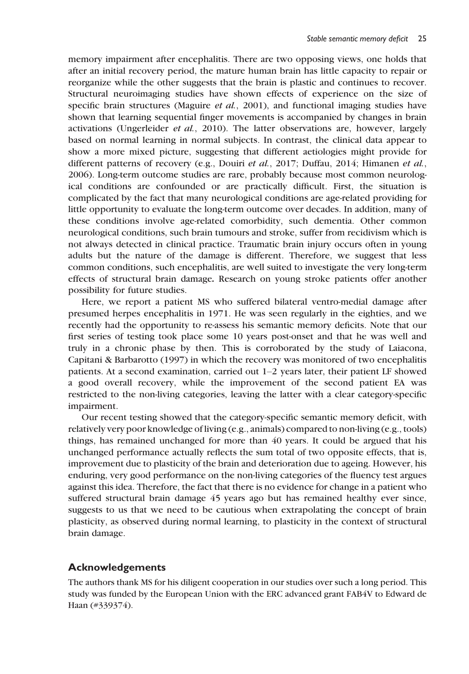memory impairment after encephalitis. There are two opposing views, one holds that after an initial recovery period, the mature human brain has little capacity to repair or reorganize while the other suggests that the brain is plastic and continues to recover. Structural neuroimaging studies have shown effects of experience on the size of specific brain structures (Maguire *et al.*, 2001), and functional imaging studies have shown that learning sequential finger movements is accompanied by changes in brain activations (Ungerleider et al., 2010). The latter observations are, however, largely based on normal learning in normal subjects. In contrast, the clinical data appear to show a more mixed picture, suggesting that different aetiologies might provide for different patterns of recovery (e.g., Douiri et al., 2017; Duffau, 2014; Himanen et al., 2006). Long-term outcome studies are rare, probably because most common neurological conditions are confounded or are practically difficult. First, the situation is complicated by the fact that many neurological conditions are age-related providing for little opportunity to evaluate the long-term outcome over decades. In addition, many of these conditions involve age-related comorbidity, such dementia. Other common neurological conditions, such brain tumours and stroke, suffer from recidivism which is not always detected in clinical practice. Traumatic brain injury occurs often in young adults but the nature of the damage is different. Therefore, we suggest that less common conditions, such encephalitis, are well suited to investigate the very long-term effects of structural brain damage. Research on young stroke patients offer another possibility for future studies.

Here, we report a patient MS who suffered bilateral ventro-medial damage after presumed herpes encephalitis in 1971. He was seen regularly in the eighties, and we recently had the opportunity to re-assess his semantic memory deficits. Note that our first series of testing took place some 10 years post-onset and that he was well and truly in a chronic phase by then. This is corroborated by the study of Laiacona, Capitani & Barbarotto (1997) in which the recovery was monitored of two encephalitis patients. At a second examination, carried out 1–2 years later, their patient LF showed a good overall recovery, while the improvement of the second patient EA was restricted to the non-living categories, leaving the latter with a clear category-specific impairment.

Our recent testing showed that the category-specific semantic memory deficit, with relatively very poor knowledge of living (e.g., animals) compared to non-living (e.g., tools) things, has remained unchanged for more than 40 years. It could be argued that his unchanged performance actually reflects the sum total of two opposite effects, that is, improvement due to plasticity of the brain and deterioration due to ageing. However, his enduring, very good performance on the non-living categories of the fluency test argues against this idea. Therefore, the fact that there is no evidence for change in a patient who suffered structural brain damage 45 years ago but has remained healthy ever since, suggests to us that we need to be cautious when extrapolating the concept of brain plasticity, as observed during normal learning, to plasticity in the context of structural brain damage.

#### Acknowledgements

The authors thank MS for his diligent cooperation in our studies over such a long period. This study was funded by the European Union with the ERC advanced grant FAB4V to Edward de Haan (#339374).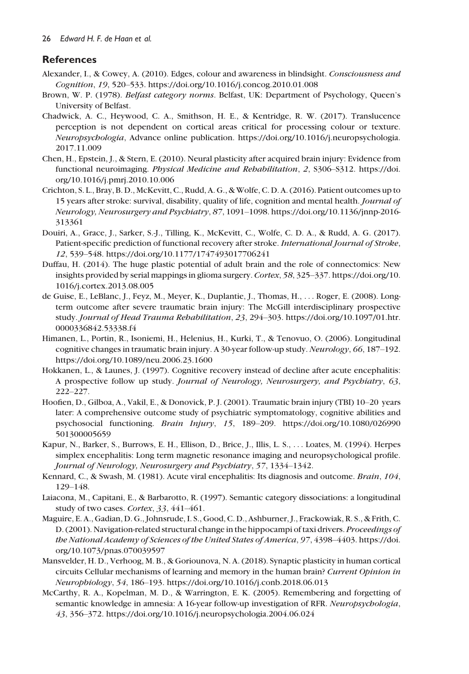## **References**

- Alexander, I., & Cowey, A. (2010). Edges, colour and awareness in blindsight. Consciousness and Cognition, 19, 520–533.<https://doi.org/10.1016/j.concog.2010.01.008>
- Brown, W. P. (1978). Belfast category norms. Belfast, UK: Department of Psychology, Queen's University of Belfast.
- Chadwick, A. C., Heywood, C. A., Smithson, H. E., & Kentridge, R. W. (2017). Translucence perception is not dependent on cortical areas critical for processing colour or texture. Neuropsychologia, Advance online publication. [https://doi.org/10.1016/j.neuropsychologia.](https://doi.org/10.1016/j.neuropsychologia.2017.11.009) [2017.11.009](https://doi.org/10.1016/j.neuropsychologia.2017.11.009)
- Chen, H., Epstein, J., & Stern, E. (2010). Neural plasticity after acquired brain injury: Evidence from functional neuroimaging. Physical Medicine and Rehabilitation, 2, S306–S312. [https://doi.](https://doi.org/10.1016/j.pmrj.2010.10.006) [org/10.1016/j.pmrj.2010.10.006](https://doi.org/10.1016/j.pmrj.2010.10.006)
- Crichton, S. L., Bray, B. D., McKevitt, C., Rudd, A. G., &Wolfe, C. D. A. (2016). Patient outcomes up to 15 years after stroke: survival, disability, quality of life, cognition and mental health. Journal of Neurology, Neurosurgery and Psychiatry, 87, 1091–1098. [https://doi.org/10.1136/jnnp-2016-](https://doi.org/10.1136/jnnp-2016-313361) [313361](https://doi.org/10.1136/jnnp-2016-313361)
- Douiri, A., Grace, J., Sarker, S.-J., Tilling, K., McKevitt, C., Wolfe, C. D. A., & Rudd, A. G. (2017). Patient-specific prediction of functional recovery after stroke. International Journal of Stroke, 12, 539–548.<https://doi.org/10.1177/1747493017706241>
- Duffau, H. (2014). The huge plastic potential of adult brain and the role of connectomics: New insights provided by serial mappings in glioma surgery. Cortex, 58, 325–337. [https://doi.org/10.](https://doi.org/10.1016/j.cortex.2013.08.005) [1016/j.cortex.2013.08.005](https://doi.org/10.1016/j.cortex.2013.08.005)
- de Guise, E., LeBlanc, J., Feyz, M., Meyer, K., Duplantie, J., Thomas, H., ... Roger, E. (2008). Longterm outcome after severe traumatic brain injury: The McGill interdisciplinary prospective study. Journal of Head Trauma Rehabilitation, 23, 294–303. [https://doi.org/10.1097/01.htr.](https://doi.org/10.1097/01.htr.0000336842.53338.f4) [0000336842.53338.f4](https://doi.org/10.1097/01.htr.0000336842.53338.f4)
- Himanen, L., Portin, R., Isoniemi, H., Helenius, H., Kurki, T., & Tenovuo, O. (2006). Longitudinal cognitive changes in traumatic brain injury. A 30-year follow-up study. Neurology, 66, 187–192. <https://doi.org/10.1089/neu.2006.23.1600>
- Hokkanen, L., & Launes, J. (1997). Cognitive recovery instead of decline after acute encephalitis: A prospective follow up study. Journal of Neurology, Neurosurgery, and Psychiatry, 63, 222–227.
- Hoofien, D., Gilboa, A., Vakil, E., & Donovick, P. J. (2001). Traumatic brain injury (TBI) 10–20 years later: A comprehensive outcome study of psychiatric symptomatology, cognitive abilities and psychosocial functioning. Brain Injury, 15, 189–209. [https://doi.org/10.1080/026990](https://doi.org/10.1080/026990501300005659) [501300005659](https://doi.org/10.1080/026990501300005659)
- Kapur, N., Barker, S., Burrows, E. H., Ellison, D., Brice, J., Illis, L. S., ... Loates, M. (1994). Herpes simplex encephalitis: Long term magnetic resonance imaging and neuropsychological profile. Journal of Neurology, Neurosurgery and Psychiatry, 57, 1334–1342.
- Kennard, C., & Swash, M. (1981). Acute viral encephalitis: Its diagnosis and outcome. Brain, 104, 129–148.
- Laiacona, M., Capitani, E., & Barbarotto, R. (1997). Semantic category dissociations: a longitudinal study of two cases. Cortex, 33, 441-461.
- Maguire, E. A., Gadian, D. G., Johnsrude, I. S., Good, C. D., Ashburner, J., Frackowiak, R. S., & Frith, C. D. (2001). Navigation-related structural change in the hippocampi of taxi drivers. Proceedings of the National Academy of Sciences of the United States of America, 97, 4398–4403. [https://doi.](https://doi.org/10.1073/pnas.070039597) [org/10.1073/pnas.070039597](https://doi.org/10.1073/pnas.070039597)
- Mansvelder, H. D., Verhoog, M. B., & Goriounova, N. A. (2018). Synaptic plasticity in human cortical circuits Cellular mechanisms of learning and memory in the human brain? Current Opinion in Neuropbiology, 54, 186–193.<https://doi.org/10.1016/j.conb.2018.06.013>
- McCarthy, R. A., Kopelman, M. D., & Warrington, E. K. (2005). Remembering and forgetting of semantic knowledge in amnesia: A 16-year follow-up investigation of RFR. Neuropsychologia, 43, 356–372.<https://doi.org/10.1016/j.neuropsychologia.2004.06.024>